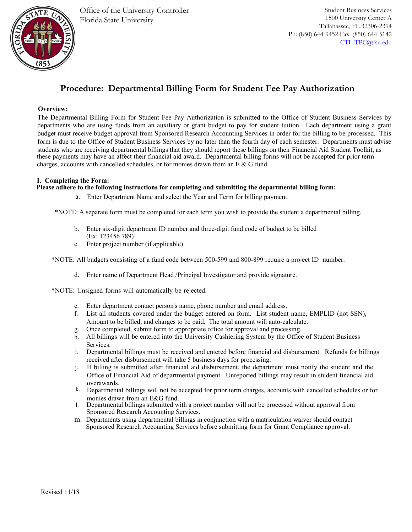

# **Procedure: Departmental Billing Form for Student Fee Pay Authorization**

### **Overview:**

The Departmental Billing Form for Student Fee Pay Authorization is submitted to the Office of Student Business Services by departments who are using funds from an auxiliary or grant budget to pay for student tuition. Each department using a grant budget must receive budget approval from Sponsored Research Accounting Services in order for the billing to be processed. This form is due to the Office of Student Business Services by no later than the fourth day of each semester. Departments must advise students who are receiving departmental billings that they should report these billings on their Financial Aid Student Toolkit, as these payments may have an affect their financial aid award. Departmental billing forms will not be accepted for prior term charges, accounts with cancelled schedules, or for monies drawn from an E & G fund.

## **I. Completing the Form:**

#### **Please adhere to the following instructions for completing and submitting the departmental billing form:**

a. Enter Department Name and select the Year and Term for billing payment.

\*NOTE: A separate form must be completed for each term you wish to provide the student a departmental billing.

- b. Enter six-digit department ID number and three-digit fund code of budget to be billed (Ex: 123456 789)
- c. Enter project number (if applicable).

\*NOTE: All budgets consisting of a fund code between 500-599 and 800-899 require a project ID number.

d. Enter name of Department Head /Principal Investigator and provide signature.

\*NOTE: Unsigned forms will automatically be rejected.

- e. Enter department contact person's name, phone number and email address.
- f. List all students covered under the budget entered on form. List student name, EMPLID (not SSN), Amount to be billed, and charges to be paid. The total amount will auto-calculate.
- g. Once completed, submit form to appropriate office for approval and processing.
- h. All billings will be entered into the University Cashiering System by the Office of Student Business Services.
- i. Departmental billings must be received and entered before financial aid disbursement. Refunds for billings received after disbursement will take 5 business days for processing.
- j. If billing is submitted after financial aid disbursement, the department must notify the student and the Office of Financial Aid of departmental payment. Unreported billings may result in student financial aid overawards.
- k. Departmental billings will not be accepted for prior term charges, accounts with cancelled schedules or for monies drawn from an E&G fund.
- l. Departmental billings submitted with a project number will not be processed without approval from Sponsored Research Accounting Services.
- m. Departments using departmental billings in conjunction with a matriculation waiver should contact Sponsored Research Accounting Services before submitting form for Grant Compliance approval.